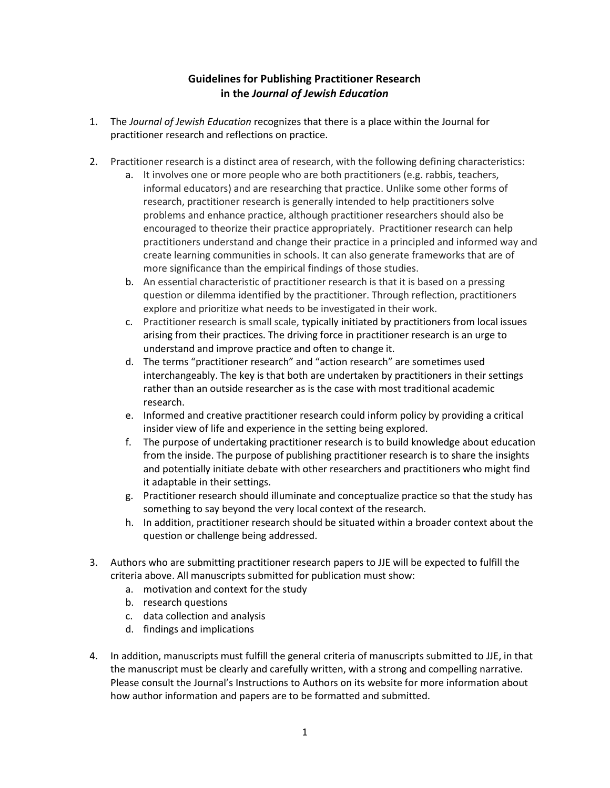## Guidelines for Publishing Practitioner Research in the Journal of Jewish Education

- 1. The Journal of Jewish Education recognizes that there is a place within the Journal for practitioner research and reflections on practice.
- 2. Practitioner research is a distinct area of research, with the following defining characteristics:
	- a. It involves one or more people who are both practitioners (e.g. rabbis, teachers, informal educators) and are researching that practice. Unlike some other forms of research, practitioner research is generally intended to help practitioners solve problems and enhance practice, although practitioner researchers should also be encouraged to theorize their practice appropriately. Practitioner research can help practitioners understand and change their practice in a principled and informed way and create learning communities in schools. It can also generate frameworks that are of more significance than the empirical findings of those studies.
	- b. An essential characteristic of practitioner research is that it is based on a pressing question or dilemma identified by the practitioner. Through reflection, practitioners explore and prioritize what needs to be investigated in their work.
	- c. Practitioner research is small scale, typically initiated by practitioners from local issues arising from their practices. The driving force in practitioner research is an urge to understand and improve practice and often to change it.
	- d. The terms "practitioner research" and "action research" are sometimes used interchangeably. The key is that both are undertaken by practitioners in their settings rather than an outside researcher as is the case with most traditional academic research.
	- e. Informed and creative practitioner research could inform policy by providing a critical insider view of life and experience in the setting being explored.
	- f. The purpose of undertaking practitioner research is to build knowledge about education from the inside. The purpose of publishing practitioner research is to share the insights and potentially initiate debate with other researchers and practitioners who might find it adaptable in their settings.
	- g. Practitioner research should illuminate and conceptualize practice so that the study has something to say beyond the very local context of the research.
	- h. In addition, practitioner research should be situated within a broader context about the question or challenge being addressed.
- 3. Authors who are submitting practitioner research papers to JJE will be expected to fulfill the criteria above. All manuscripts submitted for publication must show:
	- a. motivation and context for the study
	- b. research questions
	- c. data collection and analysis
	- d. findings and implications
- 4. In addition, manuscripts must fulfill the general criteria of manuscripts submitted to JJE, in that the manuscript must be clearly and carefully written, with a strong and compelling narrative. Please consult the Journal's Instructions to Authors on its website for more information about how author information and papers are to be formatted and submitted.